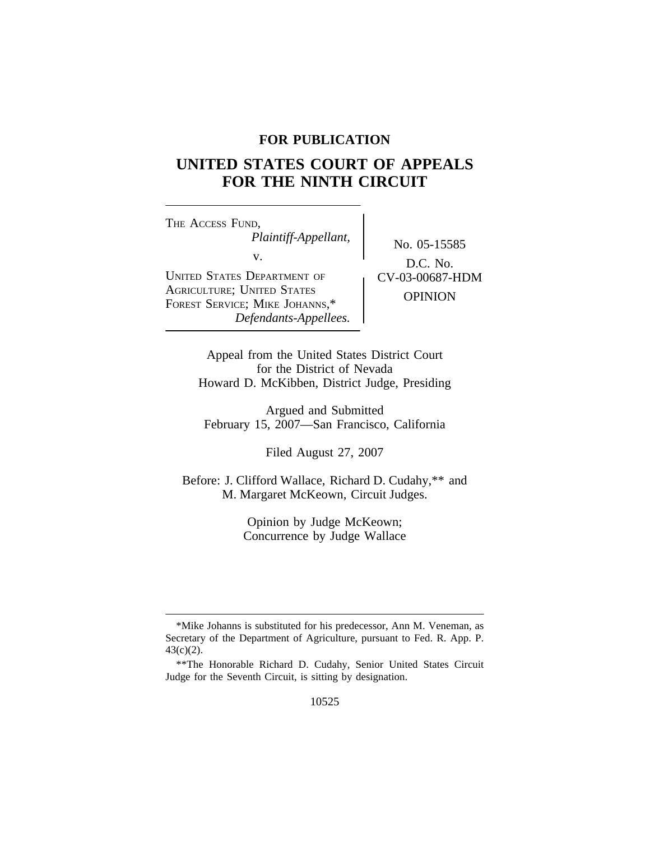# **FOR PUBLICATION**

# **UNITED STATES COURT OF APPEALS FOR THE NINTH CIRCUIT**

<sup>T</sup>HE ACCESS FUND, *Plaintiff-Appellant,* No. 05-15585<br>v.  $\qquad \qquad$  No. 05-15585 UNITED STATES DEPARTMENT OF AGRICULTURE; UNITED STATES AGRICULTURE, UNITED STATES<br>FOREST SERVICE; MIKE JOHANNS,\* OPINION *Defendants-Appellees.*

D.C. No.<br>CV-03-00687-HDM

Appeal from the United States District Court for the District of Nevada Howard D. McKibben, District Judge, Presiding

Argued and Submitted February 15, 2007—San Francisco, California

Filed August 27, 2007

Before: J. Clifford Wallace, Richard D. Cudahy,\*\* and M. Margaret McKeown, Circuit Judges.

> Opinion by Judge McKeown; Concurrence by Judge Wallace

<sup>\*</sup>Mike Johanns is substituted for his predecessor, Ann M. Veneman, as Secretary of the Department of Agriculture, pursuant to Fed. R. App. P. 43(c)(2).

<sup>\*\*</sup>The Honorable Richard D. Cudahy, Senior United States Circuit Judge for the Seventh Circuit, is sitting by designation.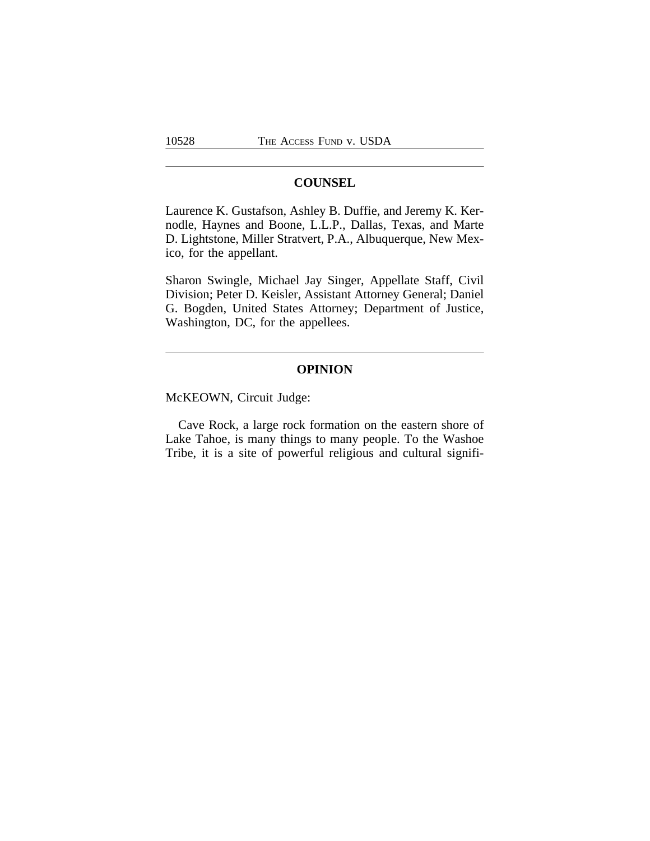# **COUNSEL**

Laurence K. Gustafson, Ashley B. Duffie, and Jeremy K. Kernodle, Haynes and Boone, L.L.P., Dallas, Texas, and Marte D. Lightstone, Miller Stratvert, P.A., Albuquerque, New Mexico, for the appellant.

Sharon Swingle, Michael Jay Singer, Appellate Staff, Civil Division; Peter D. Keisler, Assistant Attorney General; Daniel G. Bogden, United States Attorney; Department of Justice, Washington, DC, for the appellees.

# **OPINION**

McKEOWN, Circuit Judge:

Cave Rock, a large rock formation on the eastern shore of Lake Tahoe, is many things to many people. To the Washoe Tribe, it is a site of powerful religious and cultural signifi-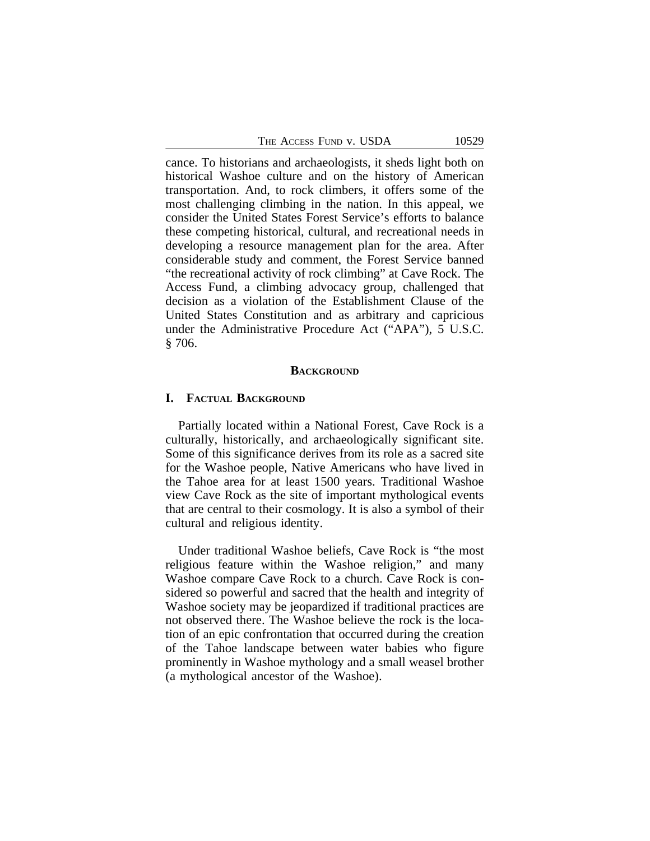| The Access Fund v. USDA |  |  |
|-------------------------|--|--|
|-------------------------|--|--|

cance. To historians and archaeologists, it sheds light both on historical Washoe culture and on the history of American transportation. And, to rock climbers, it offers some of the most challenging climbing in the nation. In this appeal, we consider the United States Forest Service's efforts to balance these competing historical, cultural, and recreational needs in developing a resource management plan for the area. After considerable study and comment, the Forest Service banned "the recreational activity of rock climbing" at Cave Rock. The Access Fund, a climbing advocacy group, challenged that decision as a violation of the Establishment Clause of the United States Constitution and as arbitrary and capricious under the Administrative Procedure Act ("APA"), 5 U.S.C. § 706.

#### **BACKGROUND**

#### **I. FACTUAL BACKGROUND**

Partially located within a National Forest, Cave Rock is a culturally, historically, and archaeologically significant site. Some of this significance derives from its role as a sacred site for the Washoe people, Native Americans who have lived in the Tahoe area for at least 1500 years. Traditional Washoe view Cave Rock as the site of important mythological events that are central to their cosmology. It is also a symbol of their cultural and religious identity.

Under traditional Washoe beliefs, Cave Rock is "the most religious feature within the Washoe religion," and many Washoe compare Cave Rock to a church. Cave Rock is considered so powerful and sacred that the health and integrity of Washoe society may be jeopardized if traditional practices are not observed there. The Washoe believe the rock is the location of an epic confrontation that occurred during the creation of the Tahoe landscape between water babies who figure prominently in Washoe mythology and a small weasel brother (a mythological ancestor of the Washoe).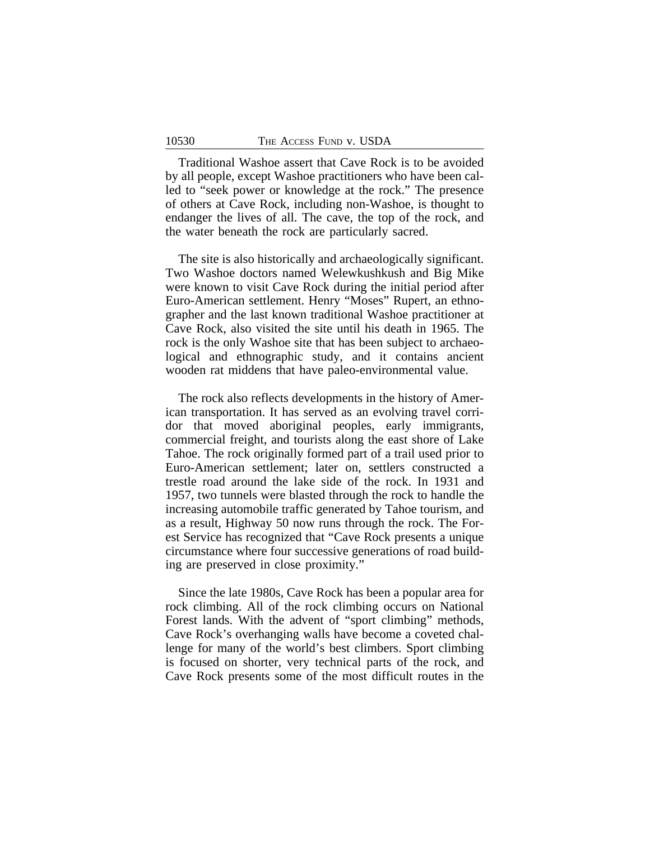Traditional Washoe assert that Cave Rock is to be avoided by all people, except Washoe practitioners who have been called to "seek power or knowledge at the rock." The presence of others at Cave Rock, including non-Washoe, is thought to endanger the lives of all. The cave, the top of the rock, and the water beneath the rock are particularly sacred.

The site is also historically and archaeologically significant. Two Washoe doctors named Welewkushkush and Big Mike were known to visit Cave Rock during the initial period after Euro-American settlement. Henry "Moses" Rupert, an ethnographer and the last known traditional Washoe practitioner at Cave Rock, also visited the site until his death in 1965. The rock is the only Washoe site that has been subject to archaeological and ethnographic study, and it contains ancient wooden rat middens that have paleo-environmental value.

The rock also reflects developments in the history of American transportation. It has served as an evolving travel corridor that moved aboriginal peoples, early immigrants, commercial freight, and tourists along the east shore of Lake Tahoe. The rock originally formed part of a trail used prior to Euro-American settlement; later on, settlers constructed a trestle road around the lake side of the rock. In 1931 and 1957, two tunnels were blasted through the rock to handle the increasing automobile traffic generated by Tahoe tourism, and as a result, Highway 50 now runs through the rock. The Forest Service has recognized that "Cave Rock presents a unique circumstance where four successive generations of road building are preserved in close proximity."

Since the late 1980s, Cave Rock has been a popular area for rock climbing. All of the rock climbing occurs on National Forest lands. With the advent of "sport climbing" methods, Cave Rock's overhanging walls have become a coveted challenge for many of the world's best climbers. Sport climbing is focused on shorter, very technical parts of the rock, and Cave Rock presents some of the most difficult routes in the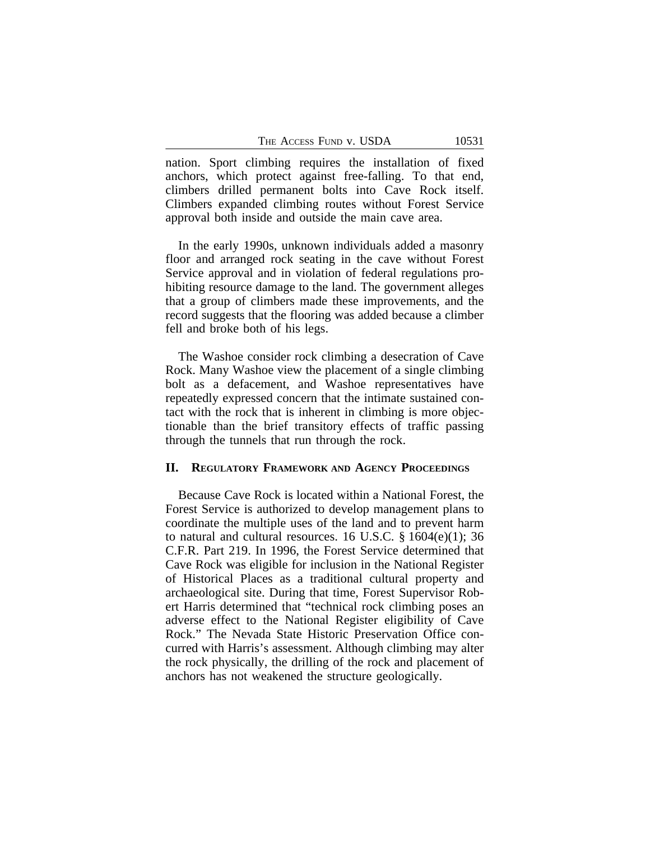nation. Sport climbing requires the installation of fixed anchors, which protect against free-falling. To that end, climbers drilled permanent bolts into Cave Rock itself. Climbers expanded climbing routes without Forest Service approval both inside and outside the main cave area.

In the early 1990s, unknown individuals added a masonry floor and arranged rock seating in the cave without Forest Service approval and in violation of federal regulations prohibiting resource damage to the land. The government alleges that a group of climbers made these improvements, and the record suggests that the flooring was added because a climber fell and broke both of his legs.

The Washoe consider rock climbing a desecration of Cave Rock. Many Washoe view the placement of a single climbing bolt as a defacement, and Washoe representatives have repeatedly expressed concern that the intimate sustained contact with the rock that is inherent in climbing is more objectionable than the brief transitory effects of traffic passing through the tunnels that run through the rock.

# **II. REGULATORY FRAMEWORK AND AGENCY PROCEEDINGS**

Because Cave Rock is located within a National Forest, the Forest Service is authorized to develop management plans to coordinate the multiple uses of the land and to prevent harm to natural and cultural resources. 16 U.S.C. § 1604(e)(1); 36 C.F.R. Part 219. In 1996, the Forest Service determined that Cave Rock was eligible for inclusion in the National Register of Historical Places as a traditional cultural property and archaeological site. During that time, Forest Supervisor Robert Harris determined that "technical rock climbing poses an adverse effect to the National Register eligibility of Cave Rock." The Nevada State Historic Preservation Office concurred with Harris's assessment. Although climbing may alter the rock physically, the drilling of the rock and placement of anchors has not weakened the structure geologically.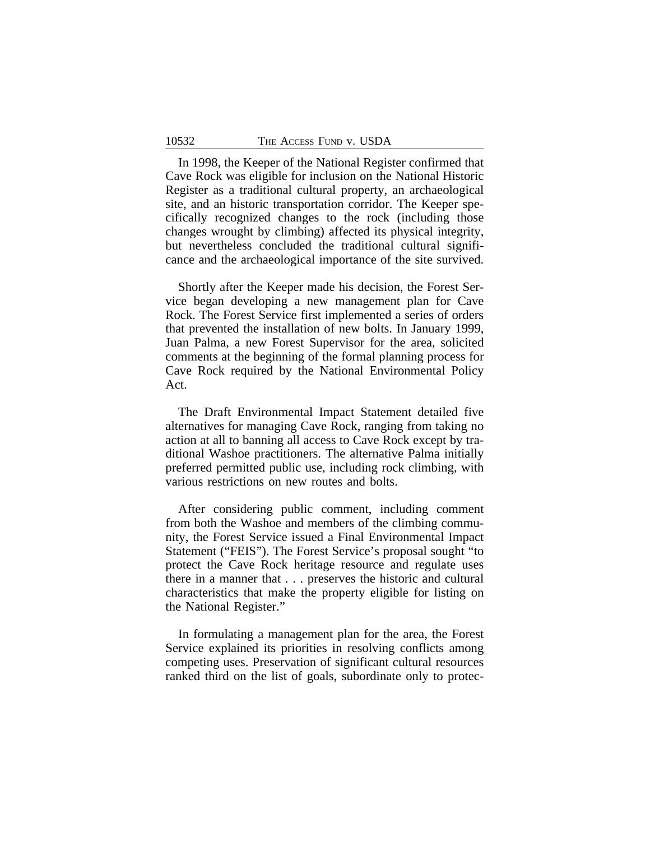In 1998, the Keeper of the National Register confirmed that Cave Rock was eligible for inclusion on the National Historic Register as a traditional cultural property, an archaeological site, and an historic transportation corridor. The Keeper specifically recognized changes to the rock (including those changes wrought by climbing) affected its physical integrity, but nevertheless concluded the traditional cultural significance and the archaeological importance of the site survived.

Shortly after the Keeper made his decision, the Forest Service began developing a new management plan for Cave Rock. The Forest Service first implemented a series of orders that prevented the installation of new bolts. In January 1999, Juan Palma, a new Forest Supervisor for the area, solicited comments at the beginning of the formal planning process for Cave Rock required by the National Environmental Policy Act.

The Draft Environmental Impact Statement detailed five alternatives for managing Cave Rock, ranging from taking no action at all to banning all access to Cave Rock except by traditional Washoe practitioners. The alternative Palma initially preferred permitted public use, including rock climbing, with various restrictions on new routes and bolts.

After considering public comment, including comment from both the Washoe and members of the climbing community, the Forest Service issued a Final Environmental Impact Statement ("FEIS"). The Forest Service's proposal sought "to protect the Cave Rock heritage resource and regulate uses there in a manner that . . . preserves the historic and cultural characteristics that make the property eligible for listing on the National Register."

In formulating a management plan for the area, the Forest Service explained its priorities in resolving conflicts among competing uses. Preservation of significant cultural resources ranked third on the list of goals, subordinate only to protec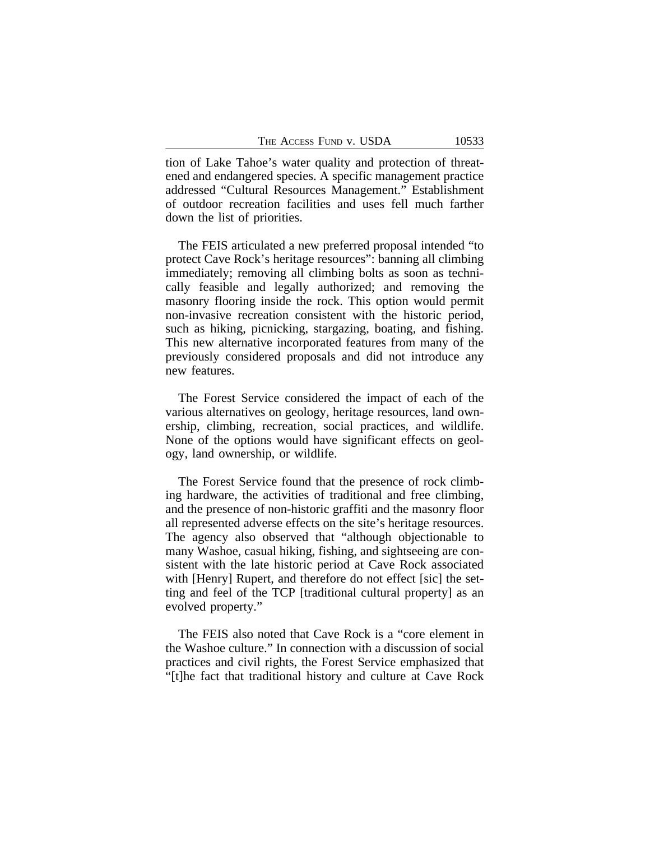tion of Lake Tahoe's water quality and protection of threatened and endangered species. A specific management practice addressed "Cultural Resources Management." Establishment of outdoor recreation facilities and uses fell much farther down the list of priorities.

The FEIS articulated a new preferred proposal intended "to protect Cave Rock's heritage resources": banning all climbing immediately; removing all climbing bolts as soon as technically feasible and legally authorized; and removing the masonry flooring inside the rock. This option would permit non-invasive recreation consistent with the historic period, such as hiking, picnicking, stargazing, boating, and fishing. This new alternative incorporated features from many of the previously considered proposals and did not introduce any new features.

The Forest Service considered the impact of each of the various alternatives on geology, heritage resources, land ownership, climbing, recreation, social practices, and wildlife. None of the options would have significant effects on geology, land ownership, or wildlife.

The Forest Service found that the presence of rock climbing hardware, the activities of traditional and free climbing, and the presence of non-historic graffiti and the masonry floor all represented adverse effects on the site's heritage resources. The agency also observed that "although objectionable to many Washoe, casual hiking, fishing, and sightseeing are consistent with the late historic period at Cave Rock associated with [Henry] Rupert, and therefore do not effect [sic] the setting and feel of the TCP [traditional cultural property] as an evolved property."

The FEIS also noted that Cave Rock is a "core element in the Washoe culture." In connection with a discussion of social practices and civil rights, the Forest Service emphasized that "[t]he fact that traditional history and culture at Cave Rock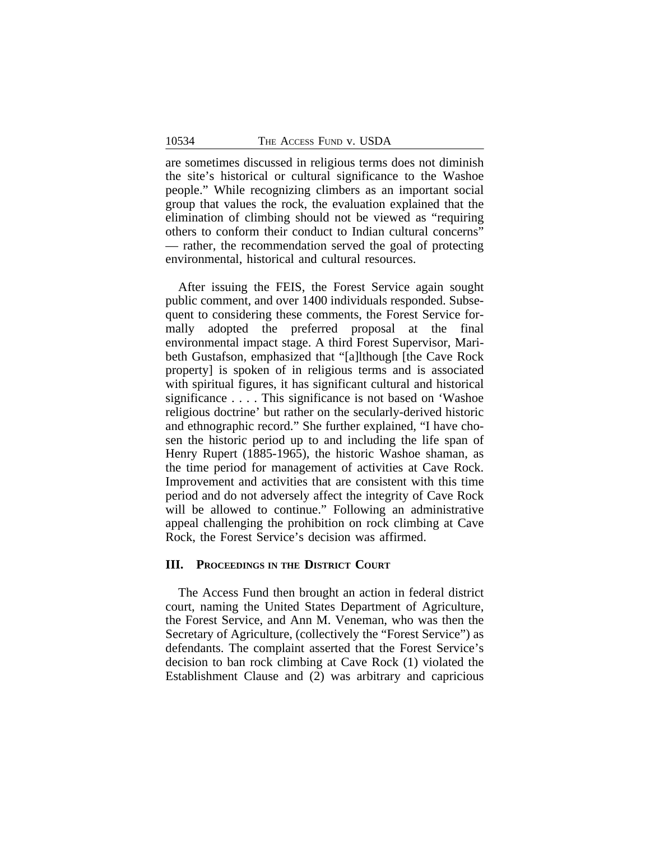are sometimes discussed in religious terms does not diminish the site's historical or cultural significance to the Washoe people." While recognizing climbers as an important social group that values the rock, the evaluation explained that the elimination of climbing should not be viewed as "requiring others to conform their conduct to Indian cultural concerns" — rather, the recommendation served the goal of protecting environmental, historical and cultural resources.

After issuing the FEIS, the Forest Service again sought public comment, and over 1400 individuals responded. Subsequent to considering these comments, the Forest Service formally adopted the preferred proposal at the final environmental impact stage. A third Forest Supervisor, Maribeth Gustafson, emphasized that "[a]lthough [the Cave Rock property] is spoken of in religious terms and is associated with spiritual figures, it has significant cultural and historical significance . . . . This significance is not based on 'Washoe religious doctrine' but rather on the secularly-derived historic and ethnographic record." She further explained, "I have chosen the historic period up to and including the life span of Henry Rupert (1885-1965), the historic Washoe shaman, as the time period for management of activities at Cave Rock. Improvement and activities that are consistent with this time period and do not adversely affect the integrity of Cave Rock will be allowed to continue." Following an administrative appeal challenging the prohibition on rock climbing at Cave Rock, the Forest Service's decision was affirmed.

### **III. PROCEEDINGS IN THE DISTRICT COURT**

The Access Fund then brought an action in federal district court, naming the United States Department of Agriculture, the Forest Service, and Ann M. Veneman, who was then the Secretary of Agriculture, (collectively the "Forest Service") as defendants. The complaint asserted that the Forest Service's decision to ban rock climbing at Cave Rock (1) violated the Establishment Clause and (2) was arbitrary and capricious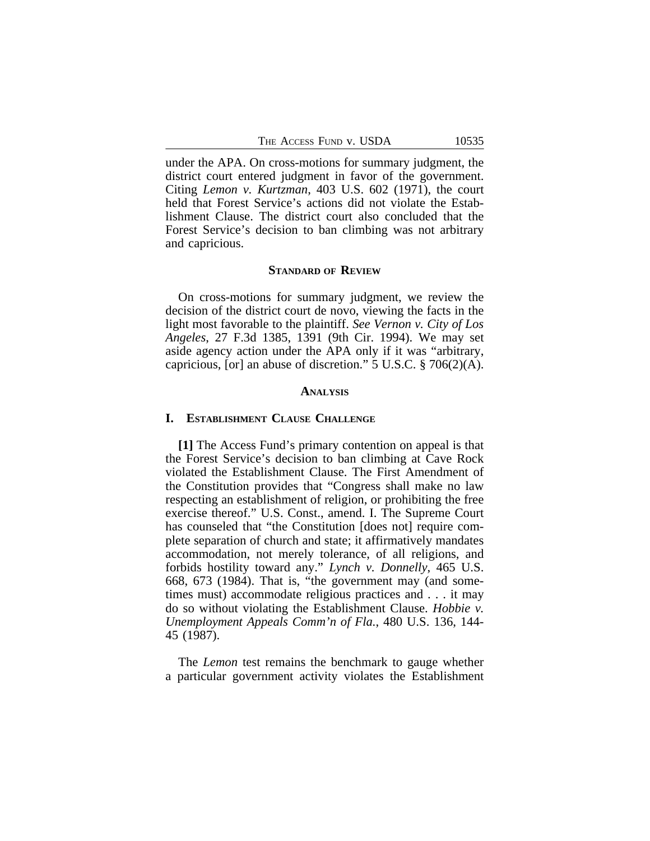under the APA. On cross-motions for summary judgment, the district court entered judgment in favor of the government. Citing *Lemon v. Kurtzman*, 403 U.S. 602 (1971), the court held that Forest Service's actions did not violate the Establishment Clause. The district court also concluded that the Forest Service's decision to ban climbing was not arbitrary and capricious.

#### **STANDARD OF REVIEW**

On cross-motions for summary judgment, we review the decision of the district court de novo, viewing the facts in the light most favorable to the plaintiff. *See Vernon v. City of Los Angeles*, 27 F.3d 1385, 1391 (9th Cir. 1994). We may set aside agency action under the APA only if it was "arbitrary, capricious, [or] an abuse of discretion." 5 U.S.C. § 706(2)(A).

#### **ANALYSIS**

#### **I. ESTABLISHMENT CLAUSE CHALLENGE**

**[1]** The Access Fund's primary contention on appeal is that the Forest Service's decision to ban climbing at Cave Rock violated the Establishment Clause. The First Amendment of the Constitution provides that "Congress shall make no law respecting an establishment of religion, or prohibiting the free exercise thereof." U.S. Const., amend. I. The Supreme Court has counseled that "the Constitution [does not] require complete separation of church and state; it affirmatively mandates accommodation, not merely tolerance, of all religions, and forbids hostility toward any." *Lynch v. Donnelly*, 465 U.S. 668, 673 (1984). That is, "the government may (and sometimes must) accommodate religious practices and . . . it may do so without violating the Establishment Clause. *Hobbie v. Unemployment Appeals Comm'n of Fla.*, 480 U.S. 136, 144- 45 (1987).

The *Lemon* test remains the benchmark to gauge whether a particular government activity violates the Establishment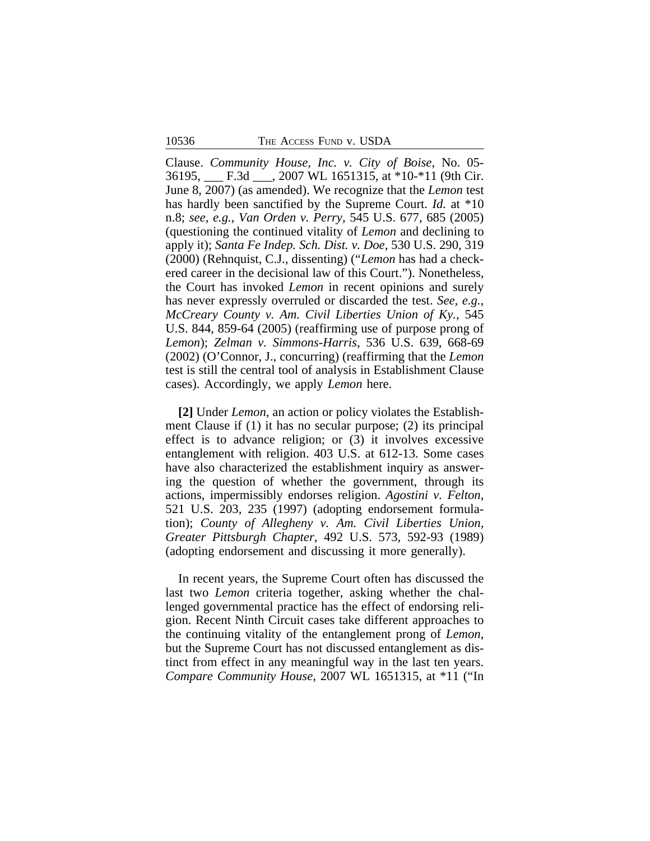Clause. *Community House, Inc. v. City of Boise*, No. 05- 36195, \_\_\_ F.3d \_\_\_, 2007 WL 1651315, at \*10-\*11 (9th Cir. June 8, 2007) (as amended). We recognize that the *Lemon* test has hardly been sanctified by the Supreme Court. *Id.* at \*10 n.8; *see, e.g.*, *Van Orden v. Perry*, 545 U.S. 677, 685 (2005) (questioning the continued vitality of *Lemon* and declining to apply it); *Santa Fe Indep. Sch. Dist. v. Doe*, 530 U.S. 290, 319 (2000) (Rehnquist, C.J., dissenting) ("*Lemon* has had a checkered career in the decisional law of this Court."). Nonetheless, the Court has invoked *Lemon* in recent opinions and surely has never expressly overruled or discarded the test. *See, e.g.*, *McCreary County v. Am. Civil Liberties Union of Ky.*, 545 U.S. 844, 859-64 (2005) (reaffirming use of purpose prong of *Lemon*); *Zelman v. Simmons-Harris*, 536 U.S. 639, 668-69 (2002) (O'Connor, J., concurring) (reaffirming that the *Lemon* test is still the central tool of analysis in Establishment Clause cases). Accordingly, we apply *Lemon* here.

**[2]** Under *Lemon*, an action or policy violates the Establishment Clause if (1) it has no secular purpose; (2) its principal effect is to advance religion; or (3) it involves excessive entanglement with religion. 403 U.S. at 612-13. Some cases have also characterized the establishment inquiry as answering the question of whether the government, through its actions, impermissibly endorses religion. *Agostini v. Felton*, 521 U.S. 203, 235 (1997) (adopting endorsement formulation); *County of Allegheny v. Am. Civil Liberties Union, Greater Pittsburgh Chapter*, 492 U.S. 573, 592-93 (1989) (adopting endorsement and discussing it more generally).

In recent years, the Supreme Court often has discussed the last two *Lemon* criteria together, asking whether the challenged governmental practice has the effect of endorsing religion. Recent Ninth Circuit cases take different approaches to the continuing vitality of the entanglement prong of *Lemon*, but the Supreme Court has not discussed entanglement as distinct from effect in any meaningful way in the last ten years. *Compare Community House*, 2007 WL 1651315, at \*11 ("In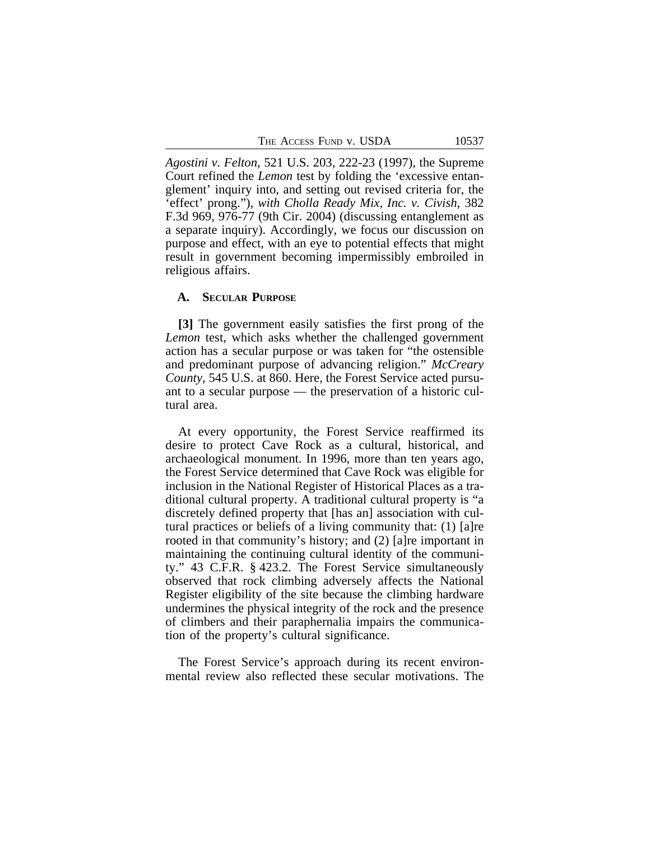THE ACCESS FUND V. USDA 10537

*Agostini v. Felton*, 521 U.S. 203, 222-23 (1997), the Supreme Court refined the *Lemon* test by folding the 'excessive entanglement' inquiry into, and setting out revised criteria for, the 'effect' prong."), *with Cholla Ready Mix, Inc. v. Civish*, 382 F.3d 969, 976-77 (9th Cir. 2004) (discussing entanglement as a separate inquiry). Accordingly, we focus our discussion on purpose and effect, with an eye to potential effects that might result in government becoming impermissibly embroiled in religious affairs.

# **A. SECULAR PURPOSE**

**[3]** The government easily satisfies the first prong of the *Lemon* test, which asks whether the challenged government action has a secular purpose or was taken for "the ostensible and predominant purpose of advancing religion." *McCreary County*, 545 U.S. at 860. Here, the Forest Service acted pursuant to a secular purpose — the preservation of a historic cultural area.

At every opportunity, the Forest Service reaffirmed its desire to protect Cave Rock as a cultural, historical, and archaeological monument. In 1996, more than ten years ago, the Forest Service determined that Cave Rock was eligible for inclusion in the National Register of Historical Places as a traditional cultural property. A traditional cultural property is "a discretely defined property that [has an] association with cultural practices or beliefs of a living community that: (1) [a]re rooted in that community's history; and (2) [a]re important in maintaining the continuing cultural identity of the community." 43 C.F.R. § 423.2. The Forest Service simultaneously observed that rock climbing adversely affects the National Register eligibility of the site because the climbing hardware undermines the physical integrity of the rock and the presence of climbers and their paraphernalia impairs the communication of the property's cultural significance.

The Forest Service's approach during its recent environmental review also reflected these secular motivations. The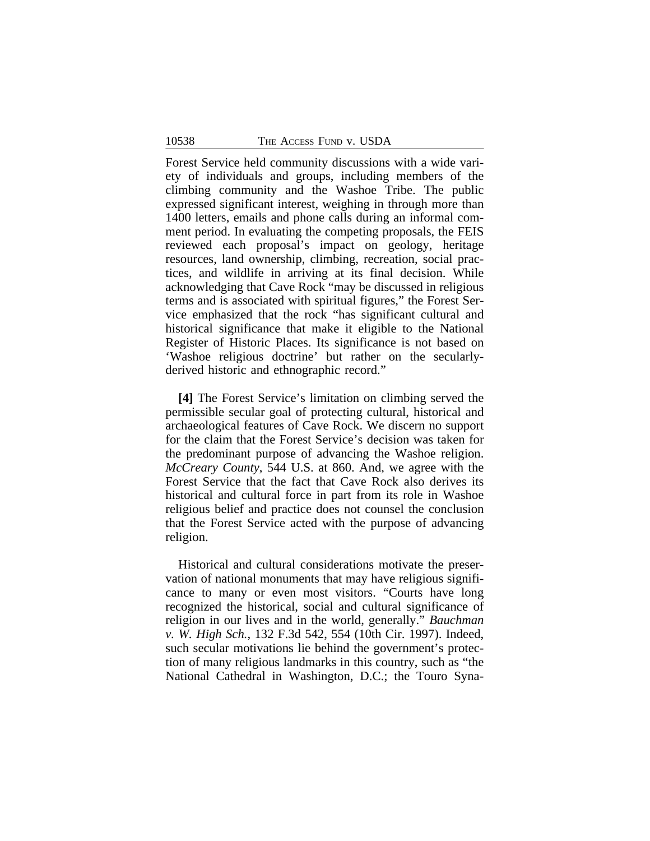Forest Service held community discussions with a wide variety of individuals and groups, including members of the climbing community and the Washoe Tribe. The public expressed significant interest, weighing in through more than 1400 letters, emails and phone calls during an informal comment period. In evaluating the competing proposals, the FEIS reviewed each proposal's impact on geology, heritage resources, land ownership, climbing, recreation, social practices, and wildlife in arriving at its final decision. While acknowledging that Cave Rock "may be discussed in religious terms and is associated with spiritual figures," the Forest Service emphasized that the rock "has significant cultural and historical significance that make it eligible to the National Register of Historic Places. Its significance is not based on 'Washoe religious doctrine' but rather on the secularlyderived historic and ethnographic record."

**[4]** The Forest Service's limitation on climbing served the permissible secular goal of protecting cultural, historical and archaeological features of Cave Rock. We discern no support for the claim that the Forest Service's decision was taken for the predominant purpose of advancing the Washoe religion. *McCreary County*, 544 U.S. at 860. And, we agree with the Forest Service that the fact that Cave Rock also derives its historical and cultural force in part from its role in Washoe religious belief and practice does not counsel the conclusion that the Forest Service acted with the purpose of advancing religion.

Historical and cultural considerations motivate the preservation of national monuments that may have religious significance to many or even most visitors. "Courts have long recognized the historical, social and cultural significance of religion in our lives and in the world, generally." *Bauchman v. W. High Sch.*, 132 F.3d 542, 554 (10th Cir. 1997). Indeed, such secular motivations lie behind the government's protection of many religious landmarks in this country, such as "the National Cathedral in Washington, D.C.; the Touro Syna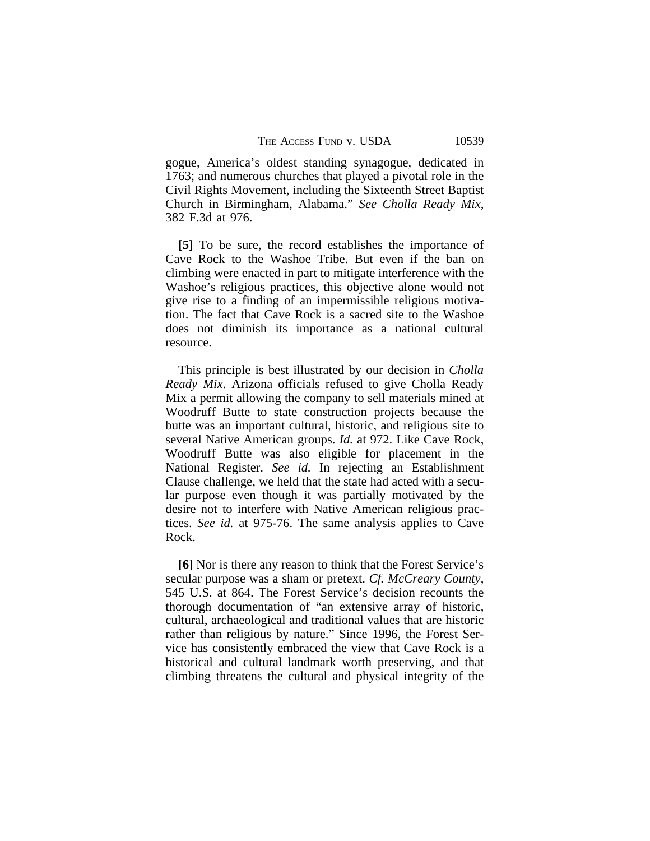gogue, America's oldest standing synagogue, dedicated in 1763; and numerous churches that played a pivotal role in the Civil Rights Movement, including the Sixteenth Street Baptist Church in Birmingham, Alabama." *See Cholla Ready Mix*, 382 F.3d at 976.

**[5]** To be sure, the record establishes the importance of Cave Rock to the Washoe Tribe. But even if the ban on climbing were enacted in part to mitigate interference with the Washoe's religious practices, this objective alone would not give rise to a finding of an impermissible religious motivation. The fact that Cave Rock is a sacred site to the Washoe does not diminish its importance as a national cultural resource.

This principle is best illustrated by our decision in *Cholla Ready Mix*. Arizona officials refused to give Cholla Ready Mix a permit allowing the company to sell materials mined at Woodruff Butte to state construction projects because the butte was an important cultural, historic, and religious site to several Native American groups. *Id.* at 972. Like Cave Rock, Woodruff Butte was also eligible for placement in the National Register. *See id.* In rejecting an Establishment Clause challenge, we held that the state had acted with a secular purpose even though it was partially motivated by the desire not to interfere with Native American religious practices. *See id.* at 975-76. The same analysis applies to Cave Rock.

**[6]** Nor is there any reason to think that the Forest Service's secular purpose was a sham or pretext. *Cf. McCreary County*, 545 U.S. at 864. The Forest Service's decision recounts the thorough documentation of "an extensive array of historic, cultural, archaeological and traditional values that are historic rather than religious by nature." Since 1996, the Forest Service has consistently embraced the view that Cave Rock is a historical and cultural landmark worth preserving, and that climbing threatens the cultural and physical integrity of the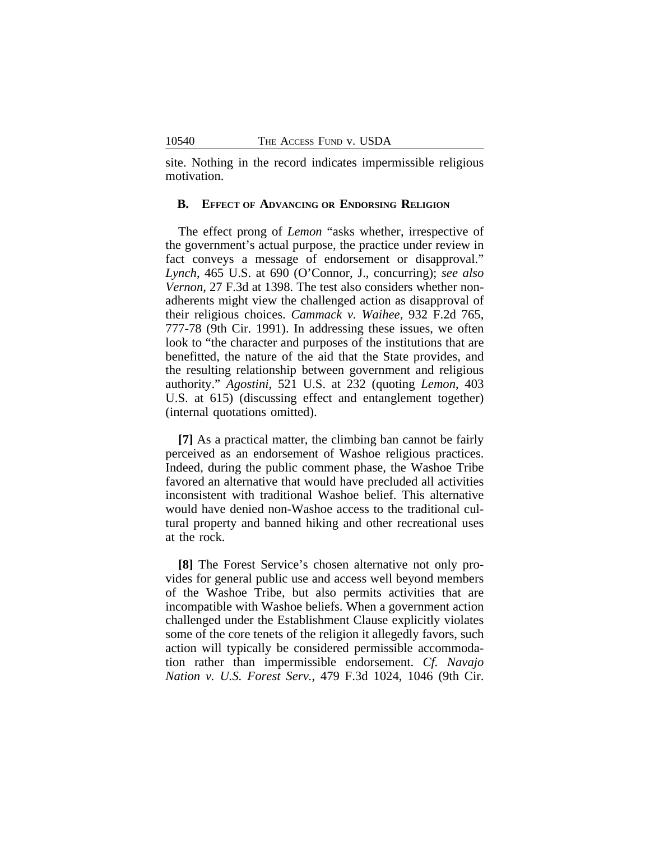site. Nothing in the record indicates impermissible religious motivation.

# **B. EFFECT OF ADVANCING OR ENDORSING RELIGION**

The effect prong of *Lemon* "asks whether, irrespective of the government's actual purpose, the practice under review in fact conveys a message of endorsement or disapproval." *Lynch*, 465 U.S. at 690 (O'Connor, J., concurring); *see also Vernon*, 27 F.3d at 1398. The test also considers whether nonadherents might view the challenged action as disapproval of their religious choices. *Cammack v. Waihee*, 932 F.2d 765, 777-78 (9th Cir. 1991). In addressing these issues, we often look to "the character and purposes of the institutions that are benefitted, the nature of the aid that the State provides, and the resulting relationship between government and religious authority." *Agostini*, 521 U.S. at 232 (quoting *Lemon*, 403 U.S. at 615) (discussing effect and entanglement together) (internal quotations omitted).

**[7]** As a practical matter, the climbing ban cannot be fairly perceived as an endorsement of Washoe religious practices. Indeed, during the public comment phase, the Washoe Tribe favored an alternative that would have precluded all activities inconsistent with traditional Washoe belief. This alternative would have denied non-Washoe access to the traditional cultural property and banned hiking and other recreational uses at the rock.

**[8]** The Forest Service's chosen alternative not only provides for general public use and access well beyond members of the Washoe Tribe, but also permits activities that are incompatible with Washoe beliefs. When a government action challenged under the Establishment Clause explicitly violates some of the core tenets of the religion it allegedly favors, such action will typically be considered permissible accommodation rather than impermissible endorsement. *Cf. Navajo Nation v. U.S. Forest Serv.*, 479 F.3d 1024, 1046 (9th Cir.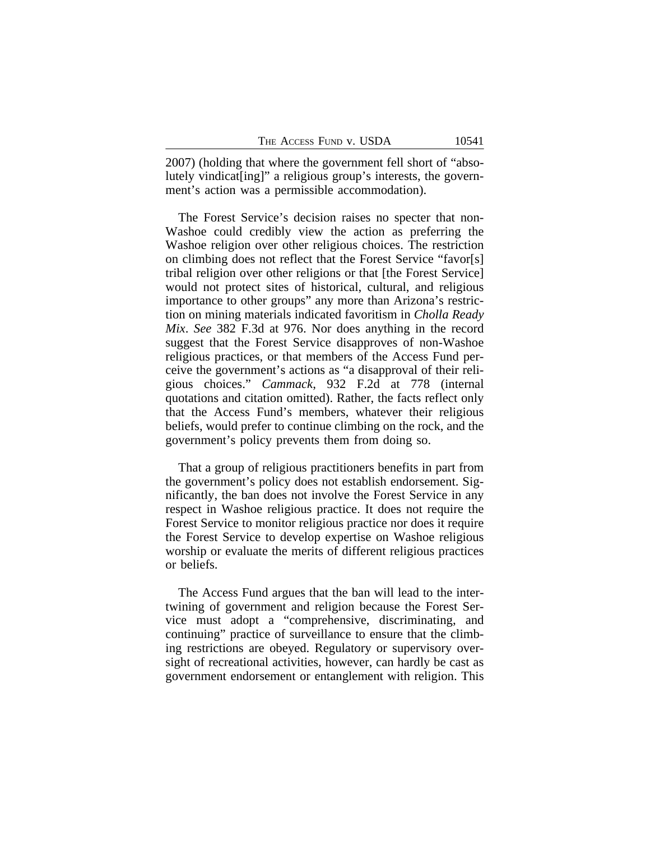2007) (holding that where the government fell short of "absolutely vindicat[ing]" a religious group's interests, the government's action was a permissible accommodation).

The Forest Service's decision raises no specter that non-Washoe could credibly view the action as preferring the Washoe religion over other religious choices. The restriction on climbing does not reflect that the Forest Service "favor[s] tribal religion over other religions or that [the Forest Service] would not protect sites of historical, cultural, and religious importance to other groups" any more than Arizona's restriction on mining materials indicated favoritism in *Cholla Ready Mix*. *See* 382 F.3d at 976. Nor does anything in the record suggest that the Forest Service disapproves of non-Washoe religious practices, or that members of the Access Fund perceive the government's actions as "a disapproval of their religious choices." *Cammack*, 932 F.2d at 778 (internal quotations and citation omitted). Rather, the facts reflect only that the Access Fund's members, whatever their religious beliefs, would prefer to continue climbing on the rock, and the government's policy prevents them from doing so.

That a group of religious practitioners benefits in part from the government's policy does not establish endorsement. Significantly, the ban does not involve the Forest Service in any respect in Washoe religious practice. It does not require the Forest Service to monitor religious practice nor does it require the Forest Service to develop expertise on Washoe religious worship or evaluate the merits of different religious practices or beliefs.

The Access Fund argues that the ban will lead to the intertwining of government and religion because the Forest Service must adopt a "comprehensive, discriminating, and continuing" practice of surveillance to ensure that the climbing restrictions are obeyed. Regulatory or supervisory oversight of recreational activities, however, can hardly be cast as government endorsement or entanglement with religion. This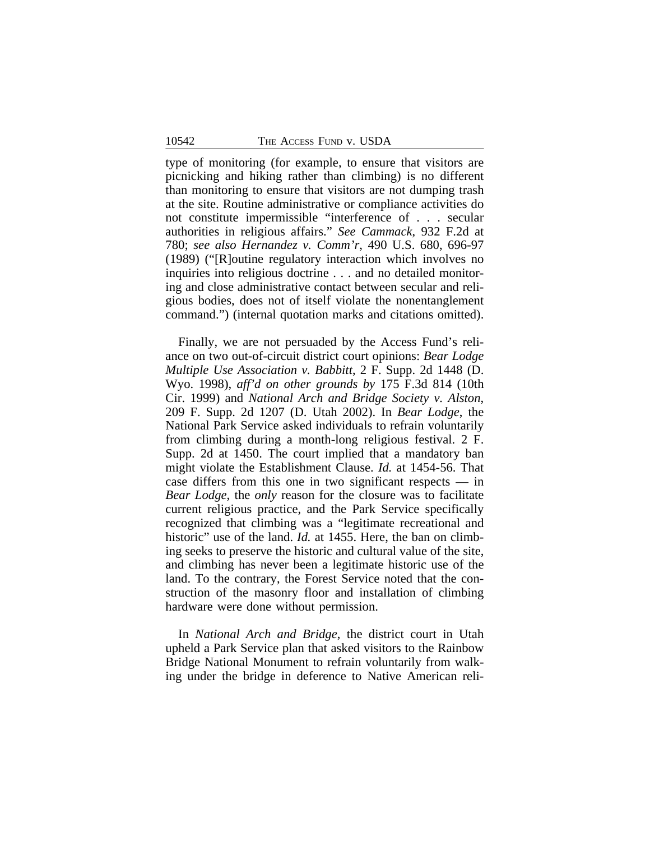type of monitoring (for example, to ensure that visitors are picnicking and hiking rather than climbing) is no different than monitoring to ensure that visitors are not dumping trash at the site. Routine administrative or compliance activities do not constitute impermissible "interference of . . . secular authorities in religious affairs." *See Cammack*, 932 F.2d at 780; *see also Hernandez v. Comm'r*, 490 U.S. 680, 696-97 (1989) ("[R]outine regulatory interaction which involves no inquiries into religious doctrine . . . and no detailed monitoring and close administrative contact between secular and religious bodies, does not of itself violate the nonentanglement command.") (internal quotation marks and citations omitted).

Finally, we are not persuaded by the Access Fund's reliance on two out-of-circuit district court opinions: *Bear Lodge Multiple Use Association v. Babbitt*, 2 F. Supp. 2d 1448 (D. Wyo. 1998), *aff'd on other grounds by* 175 F.3d 814 (10th Cir. 1999) and *National Arch and Bridge Society v. Alston*, 209 F. Supp. 2d 1207 (D. Utah 2002). In *Bear Lodge*, the National Park Service asked individuals to refrain voluntarily from climbing during a month-long religious festival. 2 F. Supp. 2d at 1450. The court implied that a mandatory ban might violate the Establishment Clause. *Id.* at 1454-56. That case differs from this one in two significant respects — in *Bear Lodge*, the *only* reason for the closure was to facilitate current religious practice, and the Park Service specifically recognized that climbing was a "legitimate recreational and historic" use of the land. *Id.* at 1455. Here, the ban on climbing seeks to preserve the historic and cultural value of the site, and climbing has never been a legitimate historic use of the land. To the contrary, the Forest Service noted that the construction of the masonry floor and installation of climbing hardware were done without permission.

In *National Arch and Bridge*, the district court in Utah upheld a Park Service plan that asked visitors to the Rainbow Bridge National Monument to refrain voluntarily from walking under the bridge in deference to Native American reli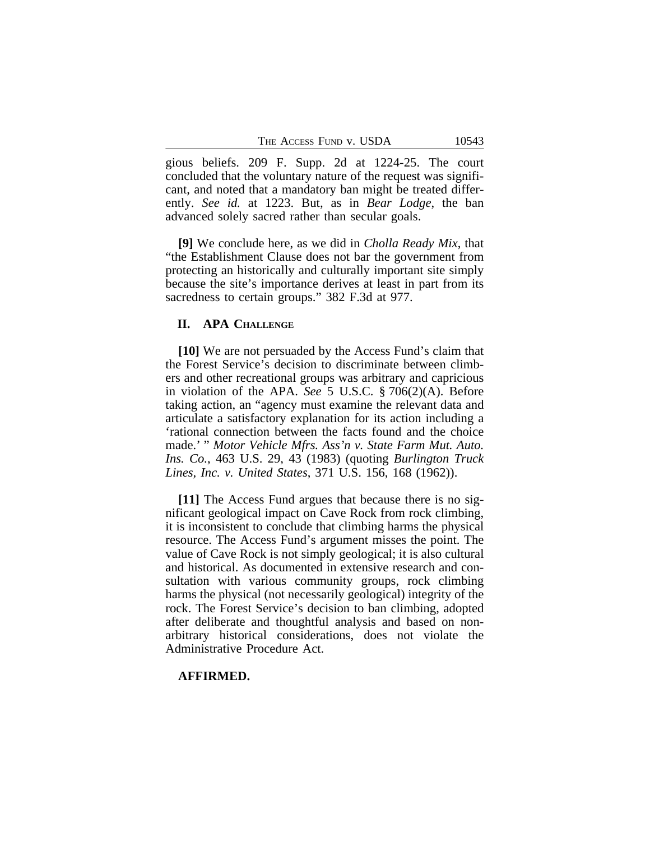gious beliefs. 209 F. Supp. 2d at 1224-25. The court concluded that the voluntary nature of the request was significant, and noted that a mandatory ban might be treated differently. *See id.* at 1223. But, as in *Bear Lodge*, the ban advanced solely sacred rather than secular goals.

**[9]** We conclude here, as we did in *Cholla Ready Mix*, that "the Establishment Clause does not bar the government from protecting an historically and culturally important site simply because the site's importance derives at least in part from its sacredness to certain groups." 382 F.3d at 977.

#### **II. APA CHALLENGE**

**[10]** We are not persuaded by the Access Fund's claim that the Forest Service's decision to discriminate between climbers and other recreational groups was arbitrary and capricious in violation of the APA. *See* 5 U.S.C. § 706(2)(A). Before taking action, an "agency must examine the relevant data and articulate a satisfactory explanation for its action including a 'rational connection between the facts found and the choice made.' " *Motor Vehicle Mfrs. Ass'n v. State Farm Mut. Auto. Ins. Co.*, 463 U.S. 29, 43 (1983) (quoting *Burlington Truck Lines, Inc. v. United States*, 371 U.S. 156, 168 (1962)).

**[11]** The Access Fund argues that because there is no significant geological impact on Cave Rock from rock climbing, it is inconsistent to conclude that climbing harms the physical resource. The Access Fund's argument misses the point. The value of Cave Rock is not simply geological; it is also cultural and historical. As documented in extensive research and consultation with various community groups, rock climbing harms the physical (not necessarily geological) integrity of the rock. The Forest Service's decision to ban climbing, adopted after deliberate and thoughtful analysis and based on nonarbitrary historical considerations, does not violate the Administrative Procedure Act.

# **AFFIRMED.**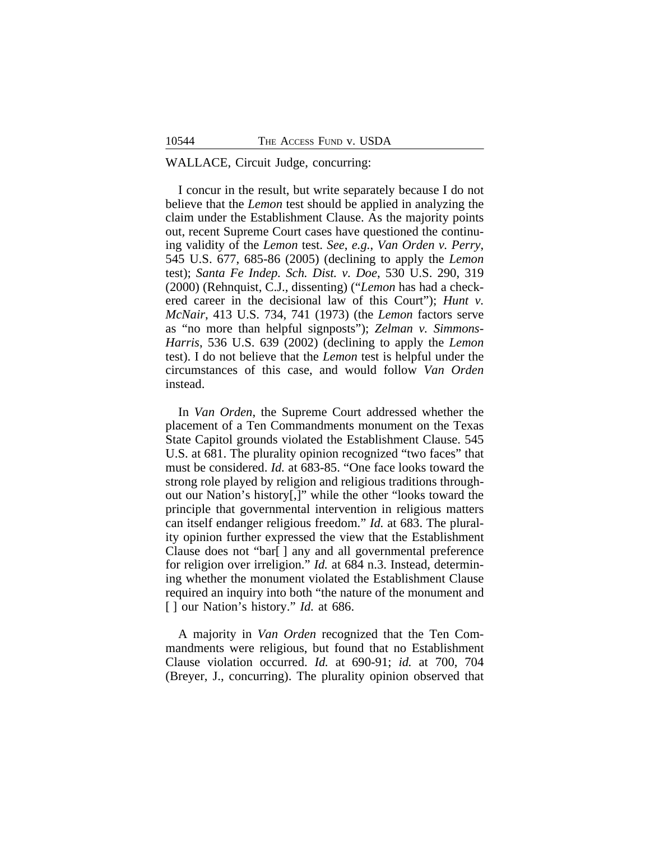# WALLACE, Circuit Judge, concurring:

I concur in the result, but write separately because I do not believe that the *Lemon* test should be applied in analyzing the claim under the Establishment Clause. As the majority points out, recent Supreme Court cases have questioned the continuing validity of the *Lemon* test. *See*, *e.g.*, *Van Orden v. Perry*, 545 U.S. 677, 685-86 (2005) (declining to apply the *Lemon* test); *Santa Fe Indep. Sch. Dist. v. Doe*, 530 U.S. 290, 319 (2000) (Rehnquist, C.J., dissenting) ("*Lemon* has had a checkered career in the decisional law of this Court"); *Hunt v. McNair*, 413 U.S. 734, 741 (1973) (the *Lemon* factors serve as "no more than helpful signposts"); *Zelman v. Simmons-Harris*, 536 U.S. 639 (2002) (declining to apply the *Lemon* test). I do not believe that the *Lemon* test is helpful under the circumstances of this case, and would follow *Van Orden* instead.

In *Van Orden*, the Supreme Court addressed whether the placement of a Ten Commandments monument on the Texas State Capitol grounds violated the Establishment Clause. 545 U.S. at 681. The plurality opinion recognized "two faces" that must be considered. *Id.* at 683-85. "One face looks toward the strong role played by religion and religious traditions throughout our Nation's history[,]" while the other "looks toward the principle that governmental intervention in religious matters can itself endanger religious freedom." *Id.* at 683. The plurality opinion further expressed the view that the Establishment Clause does not "bar[ ] any and all governmental preference for religion over irreligion." *Id.* at 684 n.3. Instead, determining whether the monument violated the Establishment Clause required an inquiry into both "the nature of the monument and [ ] our Nation's history." *Id.* at 686.

A majority in *Van Orden* recognized that the Ten Commandments were religious, but found that no Establishment Clause violation occurred. *Id.* at 690-91; *id.* at 700, 704 (Breyer, J., concurring). The plurality opinion observed that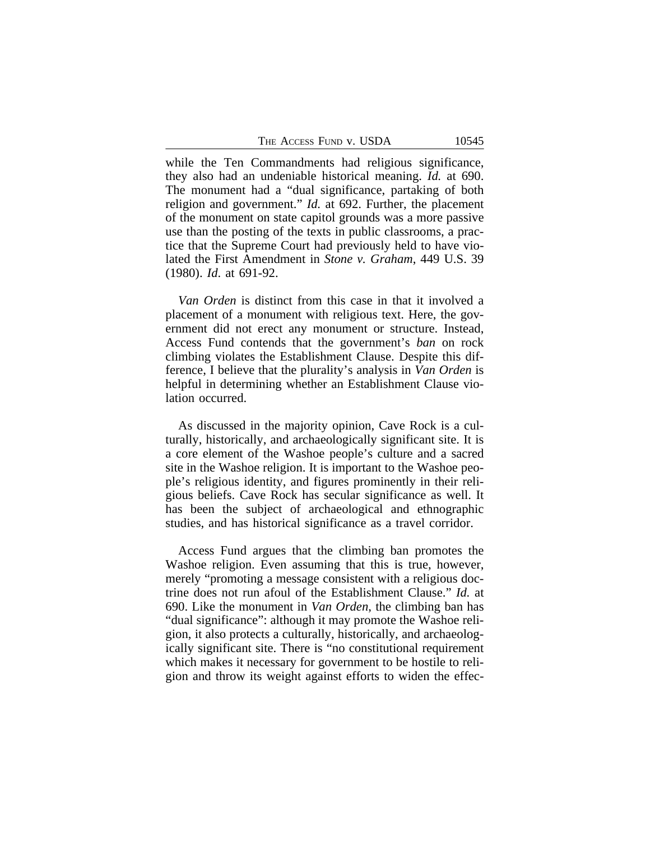THE ACCESS FUND V. USDA 10545

while the Ten Commandments had religious significance, they also had an undeniable historical meaning. *Id.* at 690. The monument had a "dual significance, partaking of both religion and government." *Id.* at 692. Further, the placement of the monument on state capitol grounds was a more passive use than the posting of the texts in public classrooms, a practice that the Supreme Court had previously held to have violated the First Amendment in *Stone v. Graham*, 449 U.S. 39 (1980). *Id*. at 691-92.

*Van Orden* is distinct from this case in that it involved a placement of a monument with religious text. Here, the government did not erect any monument or structure. Instead, Access Fund contends that the government's *ban* on rock climbing violates the Establishment Clause. Despite this difference, I believe that the plurality's analysis in *Van Orden* is helpful in determining whether an Establishment Clause violation occurred.

As discussed in the majority opinion, Cave Rock is a culturally, historically, and archaeologically significant site. It is a core element of the Washoe people's culture and a sacred site in the Washoe religion. It is important to the Washoe people's religious identity, and figures prominently in their religious beliefs. Cave Rock has secular significance as well. It has been the subject of archaeological and ethnographic studies, and has historical significance as a travel corridor.

Access Fund argues that the climbing ban promotes the Washoe religion. Even assuming that this is true, however, merely "promoting a message consistent with a religious doctrine does not run afoul of the Establishment Clause." *Id.* at 690. Like the monument in *Van Orden*, the climbing ban has "dual significance": although it may promote the Washoe religion, it also protects a culturally, historically, and archaeologically significant site. There is "no constitutional requirement which makes it necessary for government to be hostile to religion and throw its weight against efforts to widen the effec